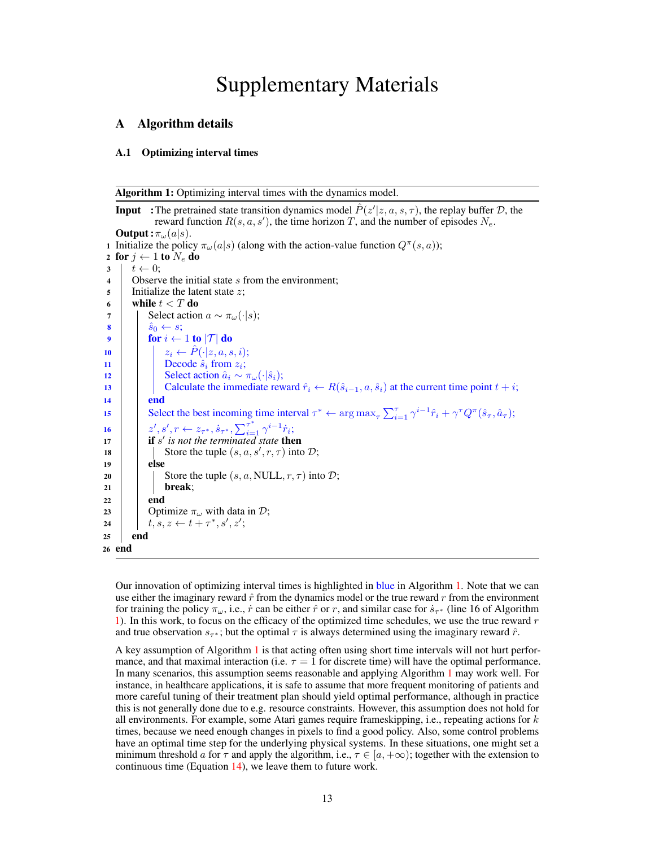# <span id="page-0-15"></span>Supplementary Materials

# <span id="page-0-11"></span><span id="page-0-9"></span><span id="page-0-1"></span>A Algorithm details

## A.1 Optimizing interval times

Algorithm 1: Optimizing interval times with the dynamics model.

```
Input :The pretrained state transition dynamics model \hat{P}(z'|z, a, s, \tau), the replay buffer D, the
                    reward function R(s, a, s'), the time horizon T, and the number of episodes N_e.
    Output: \pi_{\omega}(a|s).
 1 Initialize the policy \pi_{\omega}(a|s) (along with the action-value function Q^{\pi}(s, a));
 2 for j \leftarrow 1 to N_e do<br>3 \mid t \leftarrow 0;
 \begin{array}{c|c} 3 & t \leftarrow 0; \\ 4 & \text{Observe} \end{array}Observe the initial state s from the environment;
5 Initialize the latent state z;
 6 while t < T do
 \begin{array}{c|c} \hline \mathbf{7} & \mathbf{8} \\ \hline \mathbf{8} & \hat{s}_0 \leftarrow s \\ \hline \end{array} Select action a \sim \pi_{\omega}(\cdot | s);
 \begin{array}{c|c}\n\mathbf{8} & \hat{s}_0 \leftarrow s; \\
\mathbf{9} & \textbf{for } i \leftarrow\n\end{array}for i \leftarrow 1 to |\mathcal{T}| do
10 z_i \leftarrow \hat{P}(\cdot | z, a, s, i);<br>11 Decode \hat{s}_i from z_i;
11 Decode \hat{s}_i from z_i;<br>12 Select action \hat{a}_i \sim z_i12 Select action \hat{a}_i \sim \pi_\omega(\cdot|\hat{s}_i);<br>
Calculate the immediate rew
13 Calculate the immediate reward \hat{r}_i \leftarrow R(\hat{s}_{i-1}, a, \hat{s}_i) at the current time point t + i;
                 end
15 Select the best incoming time interval \tau^* \leftarrow \arg \max_{\tau} \sum_{i=1}^{\tau} \gamma^{i-1} \hat{r}_i + \gamma^{\tau} Q^{\pi}(\hat{s}_{\tau}, \hat{a}_{\tau});16 z', s', r \leftarrow z_{\tau^*}, s_{\tau^*}, \sum_{i=1}^{\tau^*} \gamma^{i-1} \dot{r}_i;17 if s' is not the terminated state then
18 \left| \begin{array}{c} \end{array} \right| Store the tuple (s, a, s', r, \tau) into \mathcal{D};
19 else
20 Store the tuple (s, a, NULL, r, \tau) into D;<br>
break:
                       break;
22 end
23 Optimize \pi_{\omega} with data in D;<br>24 t, s, z \leftarrow t + \tau^*, s', z';
24 \vert t, s, z \leftarrow t + \tau^*, s', z';25 end
26 end
```
<span id="page-0-13"></span><span id="page-0-8"></span><span id="page-0-6"></span><span id="page-0-4"></span><span id="page-0-2"></span><span id="page-0-0"></span>Our innovation of optimizing interval times is highlighted in blue in Algorithm [1.](#page-0-0) Note that we can use either the imaginary reward *r*ˆ from the dynamics model or the true reward *r* from the environment for training the policy  $\pi_{\omega}$ , i.e., *r* can be either  $\hat{r}$  or *r*, and similar case for  $\dot{s}_{\tau^*}$  (line 16 of Algorithm [1\)](#page-0-0). In this work, to focus on the efficacy of the optimized time schedules, we use the true reward *r* and true observation  $s_{\tau^*}$ ; but the optimal  $\tau$  is always determined using the imaginary reward  $\hat{r}$ .

<span id="page-0-14"></span><span id="page-0-12"></span><span id="page-0-7"></span>A key assumption of Algorithm [1](#page-0-0) is that acting often using short time intervals will not hurt performance, and that maximal interaction (i.e.  $\tau = 1$  for discrete time) will have the optimal performance. In many scenarios, this assumption seems reasonable and applying Algorithm [1](#page-0-0) may work well. For instance, in healthcare applications, it is safe to assume that more frequent monitoring of patients and more careful tuning of their treatment plan should yield optimal performance, although in practice this is not generally done due to e.g. resource constraints. However, this assumption does not hold for all environments. For example, some Atari games require frameskipping, i.e., repeating actions for *k* times, because we need enough changes in pixels to find a good policy. Also, some control problems have an optimal time step for the underlying physical systems. In these situations, one might set a minimum threshold *a* for  $\tau$  and apply the algorithm, i.e.,  $\tau \in [a, +\infty)$ ; together with the extension to continuous time (Equation [14\)](#page-1-0), we leave them to future work.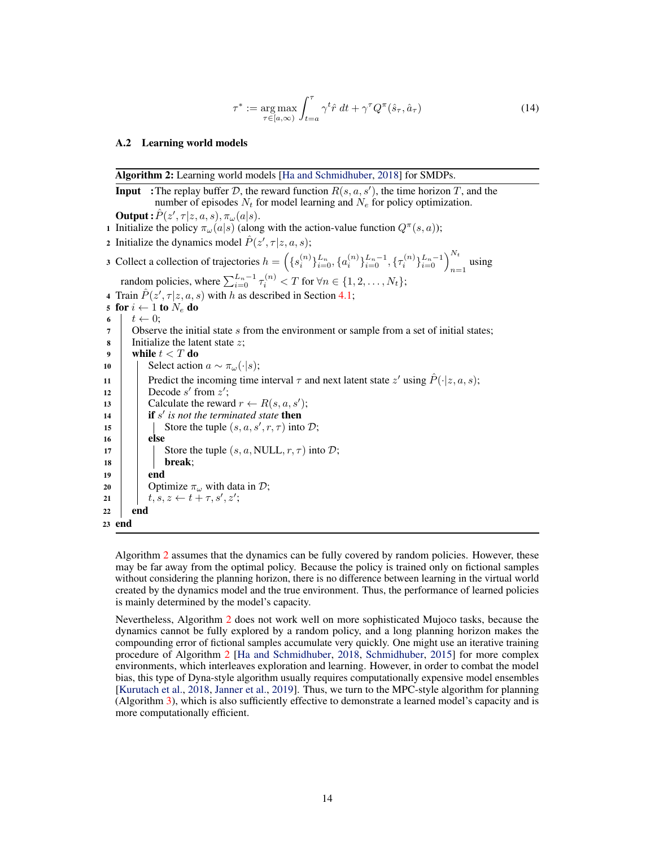<span id="page-1-0"></span>
$$
\tau^* := \underset{\tau \in [a,\infty)}{\arg \max} \int_{t=a}^{\tau} \gamma^t \hat{r} dt + \gamma^{\tau} Q^{\pi}(\hat{s}_{\tau}, \hat{a}_{\tau}) \tag{14}
$$

#### A.2 Learning world models

|        | Algorithm 2: Learning world models [Ha and Schmidhuber, 2018] for SMDPs.                                                                                             |  |  |  |  |  |
|--------|----------------------------------------------------------------------------------------------------------------------------------------------------------------------|--|--|--|--|--|
|        | <b>Input</b> :The replay buffer D, the reward function $R(s, a, s')$ , the time horizon T, and the                                                                   |  |  |  |  |  |
|        | number of episodes $N_t$ for model learning and $N_e$ for policy optimization.                                                                                       |  |  |  |  |  |
|        | <b>Output</b> : $\hat{P}(z', \tau   z, a, s), \pi_{\omega}(a s)$ .                                                                                                   |  |  |  |  |  |
|        | 1 Initialize the policy $\pi_{\omega}(a s)$ (along with the action-value function $Q^{\pi}(s, a)$ );                                                                 |  |  |  |  |  |
|        | 2 Initialize the dynamics model $\hat{P}(z', \tau   z, a, s)$ ;                                                                                                      |  |  |  |  |  |
|        | 3 Collect a collection of trajectories $h = \left( \{s_i^{(n)}\}_{i=0}^{L_n}, \{a_i^{(n)}\}_{i=0}^{L_n-1}, \{\tau_i^{(n)}\}_{i=0}^{L_n-1} \right)_{n=1}^{N_t}$ using |  |  |  |  |  |
|        | random policies, where $\sum_{i=0}^{L_n-1} \tau_i^{(n)} < T$ for $\forall n \in \{1, 2, , N_t\}$ ;                                                                   |  |  |  |  |  |
|        | 4 Train $\hat{P}(z', \tau   z, a, s)$ with h as described in Section 4.1;                                                                                            |  |  |  |  |  |
|        | 5 for $i \leftarrow 1$ to $N_e$ do                                                                                                                                   |  |  |  |  |  |
| 6      | $t \leftarrow 0$ ;                                                                                                                                                   |  |  |  |  |  |
| 7      | Observe the initial state $s$ from the environment or sample from a set of initial states;                                                                           |  |  |  |  |  |
| 8      | Initialize the latent state $z$ ;                                                                                                                                    |  |  |  |  |  |
| 9      | while $t < T$ do                                                                                                                                                     |  |  |  |  |  |
| 10     | Select action $a \sim \pi_{\omega}(\cdot   s)$ ;                                                                                                                     |  |  |  |  |  |
| 11     | Predict the incoming time interval $\tau$ and next latent state $z'$ using $\hat{P}(\cdot z, a, s)$ ;                                                                |  |  |  |  |  |
| 12     | Decode $s'$ from $z'$ ;                                                                                                                                              |  |  |  |  |  |
| 13     | Calculate the reward $r \leftarrow R(s, a, s')$ ;                                                                                                                    |  |  |  |  |  |
| 14     | <b>if</b> s' is not the terminated state <b>then</b>                                                                                                                 |  |  |  |  |  |
| 15     | Store the tuple $(s, a, s', r, \tau)$ into $\mathcal{D}$ ;                                                                                                           |  |  |  |  |  |
| 16     | else                                                                                                                                                                 |  |  |  |  |  |
| 17     | Store the tuple $(s, a, NULL, r, \tau)$ into $\mathcal{D}$ ;                                                                                                         |  |  |  |  |  |
| 18     | break;                                                                                                                                                               |  |  |  |  |  |
| 19     | end                                                                                                                                                                  |  |  |  |  |  |
| 20     | Optimize $\pi_{\omega}$ with data in D;                                                                                                                              |  |  |  |  |  |
| 21     | $t, s, z \leftarrow t + \tau, s', z';$                                                                                                                               |  |  |  |  |  |
| 22     | end                                                                                                                                                                  |  |  |  |  |  |
| 23 end |                                                                                                                                                                      |  |  |  |  |  |

<span id="page-1-1"></span>Algorithm [2](#page-1-1) assumes that the dynamics can be fully covered by random policies. However, these may be far away from the optimal policy. Because the policy is trained only on fictional samples without considering the planning horizon, there is no difference between learning in the virtual world created by the dynamics model and the true environment. Thus, the performance of learned policies is mainly determined by the model's capacity.

Nevertheless, Algorithm [2](#page-1-1) does not work well on more sophisticated Mujoco tasks, because the dynamics cannot be fully explored by a random policy, and a long planning horizon makes the compounding error of fictional samples accumulate very quickly. One might use an iterative training procedure of Algorithm [2](#page-1-1) [\[Ha and Schmidhuber,](#page-0-1) [2018,](#page-0-1) [Schmidhuber,](#page-0-3) [2015\]](#page-0-3) for more complex environments, which interleaves exploration and learning. However, in order to combat the model bias, this type of Dyna-style algorithm usually requires computationally expensive model ensembles [\[Kurutach et al.,](#page-0-4) [2018,](#page-0-4) [Janner et al.,](#page-0-5) [2019\]](#page-0-5). Thus, we turn to the MPC-style algorithm for planning (Algorithm [3\)](#page-2-0), which is also sufficiently effective to demonstrate a learned model's capacity and is more computationally efficient.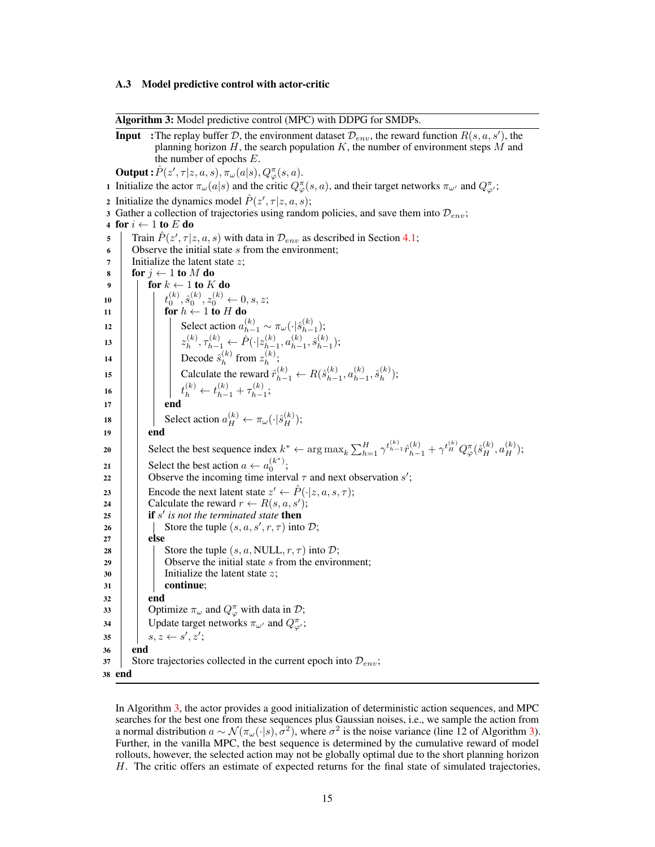#### A.3 Model predictive control with actor-critic

Algorithm 3: Model predictive control (MPC) with DDPG for SMDPs.

**Input** :The replay buffer *D*, the environment dataset  $\mathcal{D}_{env}$ , the reward function  $R(s, a, s')$ , the planning horizon *H*, the search population *K*, the number of environment steps *M* and the number of epochs *E*.  $\mathbf{Output:} \hat{P}(z', \tau | z, a, s), \pi_{\omega}(a | s), Q^{\pi}_{\varphi}(s, a).$ 1 Initialize the actor  $\pi_{\omega}(a|s)$  and the critic  $Q^{\pi}_{\varphi}(s, a)$ , and their target networks  $\pi_{\omega'}$  and  $Q^{\pi}_{\varphi'}$ ; 2 Initialize the dynamics model  $\hat{P}(z', \tau | z, a, s)$ ; <sup>3</sup> Gather a collection of trajectories using random policies, and save them into *Denv*; 4 for  $i \leftarrow 1$  to *E* do<br>5 Train  $\hat{P}(z', \tau | z)$  $\mathcal{F}$  Train  $\hat{P}(z', \tau | z, a, s)$  with data in  $\mathcal{D}_{env}$  as described in Section [4.1;](#page-0-2) <sup>6</sup> Observe the initial state *s* from the environment; <sup>7</sup> Initialize the latent state *z*; 8 **for**  $j \leftarrow 1$  to M do for  $k \leftarrow 1$  to  $K$  do 10 *t*  $\hat{s}_0^{(k)}, \hat{s}_0^{(k)}, z_0^{(k)} \leftarrow 0, s, z;$ 11 **for**  $h \leftarrow 1$  to *H* do 12 Select action  $a_{h-1}^{(k)} \sim \pi_{\omega}(\cdot | \hat{s}_{h-1}^{(k)})$ ;  $z_h^{(k)}, \tau_{h-1}^{(k)} \leftarrow \hat{P}(\cdot|z_{h-1}^{(k)}, a_{h-1}^{(k)}, \hat{s}_{h-1}^{(k)});$ 14 Decode  $\hat{s}_h^{(k)}$  from  $z_h^{(k)}$ ; 15 **calculate the reward**  $\hat{r}_{h-1}^{(k)} \leftarrow R(\hat{s}_{h-1}^{(k)}, a_{h-1}^{(k)}, \hat{s}_h^{(k)})$ ; 16  $t_h^{(k)} \leftarrow t_{h-1}^{(k)} + \tau_{h-1}^{(k)};$ 17 | | | **end** 18 Select action  $a_H^{(k)} \leftarrow \pi_\omega(\cdot|\hat{s}_H^{(k)})$ ;  $19$  end 20 Select the best sequence index  $k^* \leftarrow \arg \max_k \sum_{h=1}^H \gamma^{t_{h-1}^{(k)}} \hat{r}_{h-1}^{(k)} + \gamma^{t_H^{(k)}} Q^{\pi}_{\varphi}(\hat{s}_H^{(k)}, a_H^{(k)})$ ; 21 Select the best action  $a \leftarrow a_0^{(k^*)}$ ; 22  $\Box$  Observe the incoming time interval  $\tau$  and next observation *s'*; 23 Encode the next latent state  $z' \leftarrow \hat{P}(\cdot|z, a, s, \tau);$ <br>Calculate the reward  $r \leftarrow R(s, a, s')$ ; 24 Calculate the reward  $r \leftarrow R(s, a, s')$ ; 25 **i if** *s'* is not the terminated state then 26  $\Box$  Store the tuple  $(s, a, s', r, \tau)$  into  $\mathcal{D}$ ;  $27$  else 28 Store the tuple  $(s, a, NULL, r, \tau)$  into *D*;<br>
29 Observe the initial state *s* from the enviro Observe the initial state *s* from the environment: <sup>30</sup> Initialize the latent state *z*;  $31$  continue;  $32$  end 33 **Optimize**  $\pi_{\omega}$  and  $Q_{\varphi}^{\pi}$  with data in  $\mathcal{D}$ ; 34 | Update target networks  $\pi_{\omega'}$  and  $Q^{\pi}_{\varphi'}$ ;  $35$  |  $s, z \leftarrow s', z';$ <sup>36</sup> end  $37$  Store trajectories collected in the current epoch into  $\mathcal{D}_{env}$ ; <sup>38</sup> end

<span id="page-2-0"></span>In Algorithm [3,](#page-2-0) the actor provides a good initialization of deterministic action sequences, and MPC searches for the best one from these sequences plus Gaussian noises, i.e., we sample the action from a normal distribution  $a \sim \mathcal{N}(\pi_{\omega}(\cdot|s), \sigma^2)$ , where  $\sigma^2$  is the noise variance (line 12 of Algorithm [3\)](#page-2-0). Further, in the vanilla MPC, the best sequence is determined by the cumulative reward of model rollouts, however, the selected action may not be globally optimal due to the short planning horizon *H*. The critic offers an estimate of expected returns for the final state of simulated trajectories,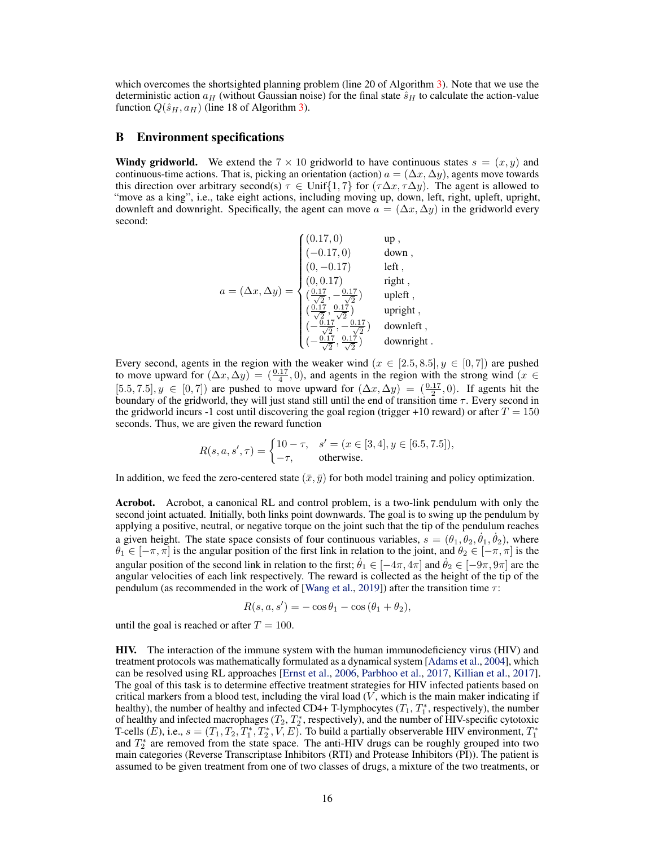which overcomes the shortsighted planning problem (line 20 of Algorithm [3\)](#page-2-0). Note that we use the deterministic action  $a_H$  (without Gaussian noise) for the final state  $\hat{s}_H$  to calculate the action-value function  $Q(\hat{s}_H, a_H)$  (line 18 of Algorithm [3\)](#page-2-0).

## B Environment specifications

**Windy gridworld.** We extend the  $7 \times 10$  gridworld to have continuous states  $s = (x, y)$  and continuous-time actions. That is, picking an orientation (action)  $a = (\Delta x, \Delta y)$ , agents move towards this direction over arbitrary second(s)  $\tau \in \text{Unif}\{1,7\}$  for  $(\tau \Delta x, \tau \Delta y)$ . The agent is allowed to "move as a king", i.e., take eight actions, including moving up, down, left, right, upleft, upright, downleft and downright. Specifically, the agent can move  $a = (\Delta x, \Delta y)$  in the gridworld every second:

$$
a = (\Delta x, \Delta y) = \begin{cases} (0.17, 0) & \text{up} \, , \\ (-0.17, 0) & \text{down} \, , \\ (0, -0.17) & \text{left} \, , \\ (0, 0.17) & \text{right} \, , \\ (\frac{0.17}{\sqrt{2}}, -\frac{0.17}{\sqrt{2}}) & \text{upleft} \, , \\ (\frac{0.17}{\sqrt{2}}, \frac{0.17}{\sqrt{2}}) & \text{upright} \, , \\ (-\frac{0.17}{\sqrt{2}}, \frac{0.17}{\sqrt{2}}) & \text{downleft} \, , \\ (-\frac{0.17}{\sqrt{2}}, \frac{0.17}{\sqrt{2}}) & \text{downleft} \, , \\ (-\frac{0.17}{\sqrt{2}}, \frac{0.17}{\sqrt{2}}) & \text{downright} \, . \end{cases}
$$

Every second, agents in the region with the weaker wind  $(x \in [2.5, 8.5], y \in [0, 7])$  are pushed to move upward for  $(\Delta x, \Delta y) = (\frac{0.17}{4}, 0)$ , and agents in the region with the strong wind  $(x \in$  $[5.5, 7.5], y \in [0, 7]$  are pushed to move upward for  $(\Delta x, \Delta y) = (\frac{0.17}{2}, 0)$ . If agents hit the boundary of the gridworld, they will just stand still until the end of transition time  $\tau$ . Every second in the gridworld incurs -1 cost until discovering the goal region (trigger +10 reward) or after  $T = 150$ seconds. Thus, we are given the reward function

$$
R(s, a, s', \tau) = \begin{cases} 10 - \tau, & s' = (x \in [3, 4], y \in [6.5, 7.5]), \\ -\tau, & \text{otherwise.} \end{cases}
$$

In addition, we feed the zero-centered state  $(\bar{x}, \bar{y})$  for both model training and policy optimization.

Acrobot. Acrobot, a canonical RL and control problem, is a two-link pendulum with only the second joint actuated. Initially, both links point downwards. The goal is to swing up the pendulum by applying a positive, neutral, or negative torque on the joint such that the tip of the pendulum reaches a given height. The state space consists of four continuous variables,  $s = (\theta_1, \theta_2, \dot{\theta}_1, \dot{\theta}_2)$ , where  $\theta_1 \in [-\pi, \pi]$  is the angular position of the first link in relation to the joint, and  $\theta_2 \in [-\pi, \pi]$  is the angular position of the second link in relation to the first;  $\dot{\theta}_1 \in [-4\pi, 4\pi]$  and  $\dot{\theta}_2 \in [-9\pi, 9\pi]$  are the angular velocities of each link respectively. The reward is collected as the height of the tip of the pendulum (as recommended in the work of [\[Wang et al.,](#page-0-6) [2019\]](#page-0-6)) after the transition time  $\tau$ :

$$
R(s, a, s') = -\cos\theta_1 - \cos(\theta_1 + \theta_2),
$$

until the goal is reached or after  $T = 100$ .

HIV. The interaction of the immune system with the human immunodeficiency virus (HIV) and treatment protocols was mathematically formulated as a dynamical system [\[Adams et al.,](#page-0-7) [2004\]](#page-0-7), which can be resolved using RL approaches [\[Ernst et al.,](#page-0-8) [2006,](#page-0-8) [Parbhoo et al.,](#page-0-9) [2017,](#page-0-9) [Killian et al.,](#page-0-10) [2017\]](#page-0-10). The goal of this task is to determine effective treatment strategies for HIV infected patients based on critical markers from a blood test, including the viral load (*V* , which is the main maker indicating if healthy), the number of healthy and infected CD4+ T-lymphocytes  $(T_1, T_1^*$ , respectively), the number of healthy and infected macrophages  $(T_2, T_2^*$ , respectively), and the number of HIV-specific cytotoxic T-cells  $(E)$ , i.e.,  $s = (T_1, T_2, T_1^*, T_2^*, V, E)$ . To build a partially observerable HIV environment,  $T_1^*$ and  $T_2^*$  are removed from the state space. The anti-HIV drugs can be roughly grouped into two main categories (Reverse Transcriptase Inhibitors (RTI) and Protease Inhibitors (PI)). The patient is assumed to be given treatment from one of two classes of drugs, a mixture of the two treatments, or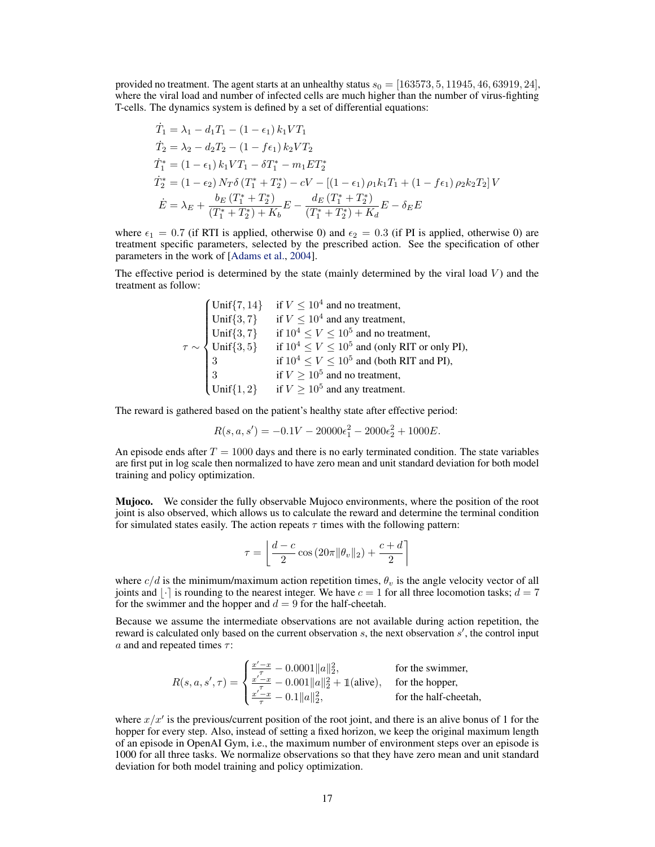provided no treatment. The agent starts at an unhealthy status  $s_0 = [163573, 5, 11945, 46, 63919, 24]$ , where the viral load and number of infected cells are much higher than the number of virus-fighting T-cells. The dynamics system is defined by a set of differential equations:

$$
\begin{aligned}\n\dot{T}_1 &= \lambda_1 - d_1 T_1 - (1 - \epsilon_1) k_1 V T_1 \\
\dot{T}_2 &= \lambda_2 - d_2 T_2 - (1 - f \epsilon_1) k_2 V T_2 \\
\dot{T}_1^* &= (1 - \epsilon_1) k_1 V T_1 - \delta T_1^* - m_1 E T_2^* \\
\dot{T}_2^* &= (1 - \epsilon_2) N_T \delta \left( T_1^* + T_2^* \right) - cV - \left[ (1 - \epsilon_1) \rho_1 k_1 T_1 + (1 - f \epsilon_1) \rho_2 k_2 T_2 \right] V \\
\dot{E} &= \lambda_E + \frac{b_E \left( T_1^* + T_2^* \right)}{\left( T_1^* + T_2^* \right) + K_b} E - \frac{d_E \left( T_1^* + T_2^* \right)}{\left( T_1^* + T_2^* \right) + K_d} E - \delta_E E\n\end{aligned}
$$

where  $\epsilon_1 = 0.7$  (if RTI is applied, otherwise 0) and  $\epsilon_2 = 0.3$  (if PI is applied, otherwise 0) are treatment specific parameters, selected by the prescribed action. See the specification of other parameters in the work of [\[Adams et al.,](#page-0-7) [2004\]](#page-0-7).

The effective period is determined by the state (mainly determined by the viral load *V* ) and the treatment as follow:

$$
\tau \sim \begin{cases}\n\text{Unif}\{7, 14\} & \text{if } V \le 10^4 \text{ and no treatment,} \\
\text{Unif}\{3, 7\} & \text{if } V \le 10^4 \text{ and any treatment,} \\
\text{Unif}\{3, 7\} & \text{if } 10^4 \le V \le 10^5 \text{ and no treatment,} \\
\text{Unif}\{3, 5\} & \text{if } 10^4 \le V \le 10^5 \text{ and (only RIT or only PI),} \\
\text{if } 10^4 \le V \le 10^5 \text{ and (both RIT and PI),} \\
\text{if } V \ge 10^5 \text{ and no treatment,} \\
\text{Unif}\{1, 2\} & \text{if } V \ge 10^5 \text{ and any treatment.}\n\end{cases}
$$

The reward is gathered based on the patient's healthy state after effective period:

$$
R(s, a, s') = -0.1V - 20000\epsilon_1^2 - 2000\epsilon_2^2 + 1000E.
$$

An episode ends after  $T = 1000$  days and there is no early terminated condition. The state variables are first put in log scale then normalized to have zero mean and unit standard deviation for both model training and policy optimization.

**Mujoco.** We consider the fully observable Mujoco environments, where the position of the root joint is also observed, which allows us to calculate the reward and determine the terminal condition for simulated states easily. The action repeats  $\tau$  times with the following pattern:

$$
\tau = \left\lfloor \frac{d-c}{2} \cos \left( 20\pi \|\theta_v\|_2 \right) + \frac{c+d}{2} \right\rceil
$$

where  $c/d$  is the minimum/maximum action repetition times,  $\theta_v$  is the angle velocity vector of all joints and  $\lfloor \cdot \rfloor$  is rounding to the nearest integer. We have  $c = 1$  for all three locomotion tasks;  $d = 7$ for the swimmer and the hopper and  $d = 9$  for the half-cheetah.

Because we assume the intermediate observations are not available during action repetition, the reward is calculated only based on the current observation *s*, the next observation *s'*, the control input  $a$  and and repeated times  $\tau$ :

$$
R(s, a, s', \tau) = \begin{cases} \frac{x'-x}{\tau} - 0.0001 \|a\|_2^2, & \text{for the swimmer,} \\ \frac{x'-x}{\tau} - 0.001 \|a\|_2^2 + 1 \text{(alive)}, & \text{for the hopper,} \\ \frac{x'-x}{\tau} - 0.1 \|a\|_2^2, & \text{for the half-checkah,} \end{cases}
$$

where  $x/x'$  is the previous/current position of the root joint, and there is an alive bonus of 1 for the hopper for every step. Also, instead of setting a fixed horizon, we keep the original maximum length of an episode in OpenAI Gym, i.e., the maximum number of environment steps over an episode is 1000 for all three tasks. We normalize observations so that they have zero mean and unit standard deviation for both model training and policy optimization.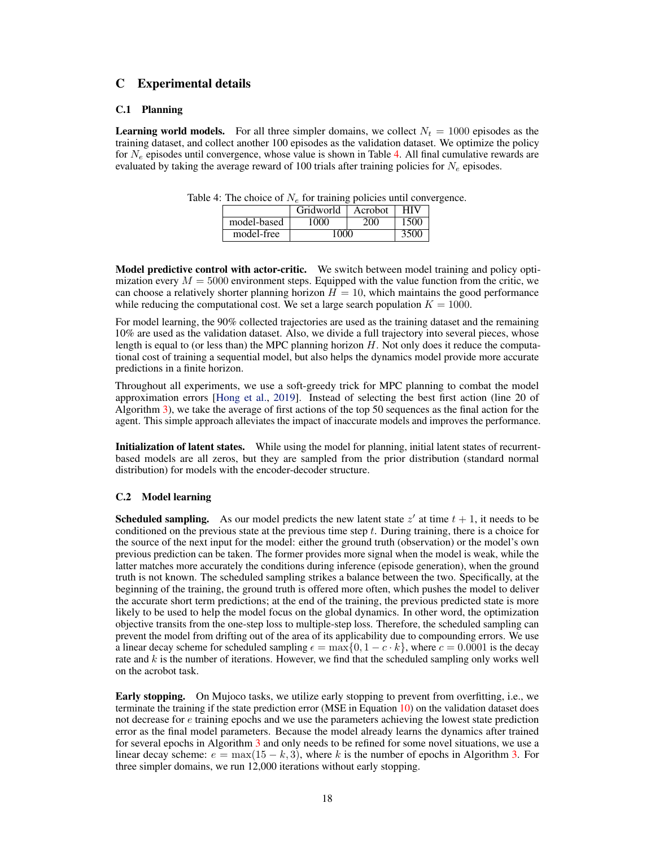# C Experimental details

## C.1 Planning

<span id="page-5-0"></span>**Learning world models.** For all three simpler domains, we collect  $N_t = 1000$  episodes as the training dataset, and collect another 100 episodes as the validation dataset. We optimize the policy for *N<sup>e</sup>* episodes until convergence, whose value is shown in Table [4.](#page-5-0) All final cumulative rewards are evaluated by taking the average reward of 100 trials after training policies for *N<sup>e</sup>* episodes.

|             | Gridworld | HIV  |      |
|-------------|-----------|------|------|
| model-based | 1000      | 200  | 1500 |
| model-free  | 1000      | 3500 |      |

Table 4: The choice of  $N_e$  for training policies until convergence.

Model predictive control with actor-critic. We switch between model training and policy optimization every  $M = 5000$  environment steps. Equipped with the value function from the critic, we can choose a relatively shorter planning horizon  $H = 10$ , which maintains the good performance while reducing the computational cost. We set a large search population  $K = 1000$ .

For model learning, the 90% collected trajectories are used as the training dataset and the remaining 10% are used as the validation dataset. Also, we divide a full trajectory into several pieces, whose length is equal to (or less than) the MPC planning horizon *H*. Not only does it reduce the computational cost of training a sequential model, but also helps the dynamics model provide more accurate predictions in a finite horizon.

Throughout all experiments, we use a soft-greedy trick for MPC planning to combat the model approximation errors [\[Hong et al.,](#page-0-11) [2019\]](#page-0-11). Instead of selecting the best first action (line 20 of Algorithm [3\)](#page-2-0), we take the average of first actions of the top 50 sequences as the final action for the agent. This simple approach alleviates the impact of inaccurate models and improves the performance.

Initialization of latent states. While using the model for planning, initial latent states of recurrentbased models are all zeros, but they are sampled from the prior distribution (standard normal distribution) for models with the encoder-decoder structure.

## C.2 Model learning

**Scheduled sampling.** As our model predicts the new latent state  $z<sup>'</sup>$  at time  $t + 1$ , it needs to be conditioned on the previous state at the previous time step *t*. During training, there is a choice for the source of the next input for the model: either the ground truth (observation) or the model's own previous prediction can be taken. The former provides more signal when the model is weak, while the latter matches more accurately the conditions during inference (episode generation), when the ground truth is not known. The scheduled sampling strikes a balance between the two. Specifically, at the beginning of the training, the ground truth is offered more often, which pushes the model to deliver the accurate short term predictions; at the end of the training, the previous predicted state is more likely to be used to help the model focus on the global dynamics. In other word, the optimization objective transits from the one-step loss to multiple-step loss. Therefore, the scheduled sampling can prevent the model from drifting out of the area of its applicability due to compounding errors. We use a linear decay scheme for scheduled sampling  $\epsilon = \max\{0, 1 - c \cdot k\}$ , where  $c = 0.0001$  is the decay rate and *k* is the number of iterations. However, we find that the scheduled sampling only works well on the acrobot task.

Early stopping. On Mujoco tasks, we utilize early stopping to prevent from overfitting, i.e., we terminate the training if the state prediction error ( $MSE$  in Equation [10\)](#page-0-12) on the validation dataset does not decrease for *e* training epochs and we use the parameters achieving the lowest state prediction error as the final model parameters. Because the model already learns the dynamics after trained for several epochs in Algorithm [3](#page-2-0) and only needs to be refined for some novel situations, we use a linear decay scheme:  $e = \max(15 - k, 3)$ , where k is the number of epochs in Algorithm [3.](#page-2-0) For three simpler domains, we run 12,000 iterations without early stopping.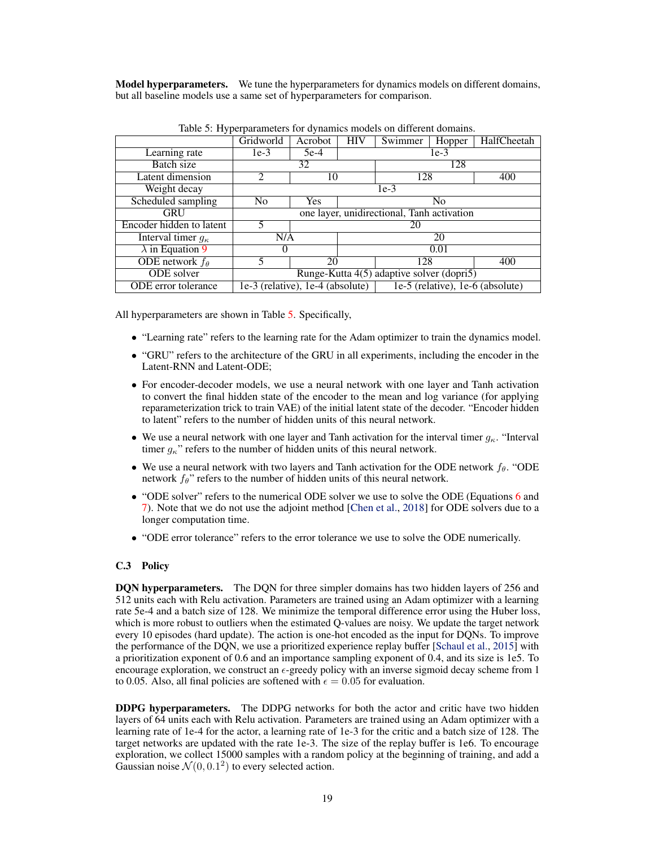**Model hyperparameters.** We tune the hyperparameters for dynamics models on different domains, but all baseline models use a same set of hyperparameters for comparison.

<span id="page-6-0"></span>

| naone et 11, per parametero 1 et le , maini |                                                                          |                              |            |         |        |             |  |
|---------------------------------------------|--------------------------------------------------------------------------|------------------------------|------------|---------|--------|-------------|--|
|                                             | Gridworld                                                                | Acrobot                      | <b>HIV</b> | Swimmer | Hopper | HalfCheetah |  |
| Learning rate                               | $1e-3$                                                                   | $5e-4$                       | $1e-3$     |         |        |             |  |
| Batch size                                  | 32                                                                       |                              |            | 128     |        |             |  |
| Latent dimension                            | $\mathfrak{D}$<br>10                                                     |                              |            | 128     |        | 400         |  |
| Weight decay                                | $1e-3$                                                                   |                              |            |         |        |             |  |
| Scheduled sampling                          | N <sub>0</sub>                                                           | <b>Yes</b><br>N <sub>o</sub> |            |         |        |             |  |
| <b>GRU</b>                                  | one layer, unidirectional, Tanh activation                               |                              |            |         |        |             |  |
| Encoder hidden to latent                    | 5<br>20                                                                  |                              |            |         |        |             |  |
| Interval timer $g_{\kappa}$                 | N/A                                                                      |                              | 20         |         |        |             |  |
| $\lambda$ in Equation 9                     | O                                                                        |                              | 0.01       |         |        |             |  |
| ODE network $f_{\theta}$                    |                                                                          | 20                           |            | 128     |        | 400         |  |
| ODE solver                                  | Runge-Kutta 4(5) adaptive solver (dopri5)                                |                              |            |         |        |             |  |
| ODE error tolerance                         | 1e-3 (relative), 1e-4 (absolute)<br>$1e-5$ (relative), $1e-6$ (absolute) |                              |            |         |        |             |  |

Table 5: Hyperparameters for dynamics models on different domains.

All hyperparameters are shown in Table [5.](#page-6-0) Specifically,

- "Learning rate" refers to the learning rate for the Adam optimizer to train the dynamics model.
- "GRU" refers to the architecture of the GRU in all experiments, including the encoder in the Latent-RNN and Latent-ODE;
- For encoder-decoder models, we use a neural network with one layer and Tanh activation to convert the final hidden state of the encoder to the mean and log variance (for applying reparameterization trick to train VAE) of the initial latent state of the decoder. "Encoder hidden to latent" refers to the number of hidden units of this neural network.
- We use a neural network with one layer and Tanh activation for the interval timer  $q_{\kappa}$ . "Interval" timer  $g_{\kappa}$ " refers to the number of hidden units of this neural network.
- We use a neural network with two layers and Tanh activation for the ODE network *f*<sub>0</sub>. "ODE network  $f_{\theta}$ " refers to the number of hidden units of this neural network.
- "ODE solver" refers to the numerical ODE solver we use to solve the ODE (Equations [6](#page-0-14) and [7\)](#page-0-15). Note that we do not use the adjoint method [\[Chen et al.,](#page-0-16) [2018\]](#page-0-16) for ODE solvers due to a longer computation time.
- "ODE error tolerance" refers to the error tolerance we use to solve the ODE numerically.

#### C.3 Policy

DQN hyperparameters. The DQN for three simpler domains has two hidden layers of 256 and 512 units each with Relu activation. Parameters are trained using an Adam optimizer with a learning rate 5e-4 and a batch size of 128. We minimize the temporal difference error using the Huber loss, which is more robust to outliers when the estimated Q-values are noisy. We update the target network every 10 episodes (hard update). The action is one-hot encoded as the input for DQNs. To improve the performance of the DQN, we use a prioritized experience replay buffer [\[Schaul et al.,](#page-0-17) [2015\]](#page-0-17) with a prioritization exponent of 0.6 and an importance sampling exponent of 0.4, and its size is 1e5. To encourage exploration, we construct an  $\epsilon$ -greedy policy with an inverse sigmoid decay scheme from 1 to 0.05. Also, all final policies are softened with  $\epsilon = 0.05$  for evaluation.

DDPG hyperparameters. The DDPG networks for both the actor and critic have two hidden layers of 64 units each with Relu activation. Parameters are trained using an Adam optimizer with a learning rate of 1e-4 for the actor, a learning rate of 1e-3 for the critic and a batch size of 128. The target networks are updated with the rate 1e-3. The size of the replay buffer is 1e6. To encourage exploration, we collect 15000 samples with a random policy at the beginning of training, and add a Gaussian noise  $\mathcal{N}(0, 0.1^2)$  to every selected action.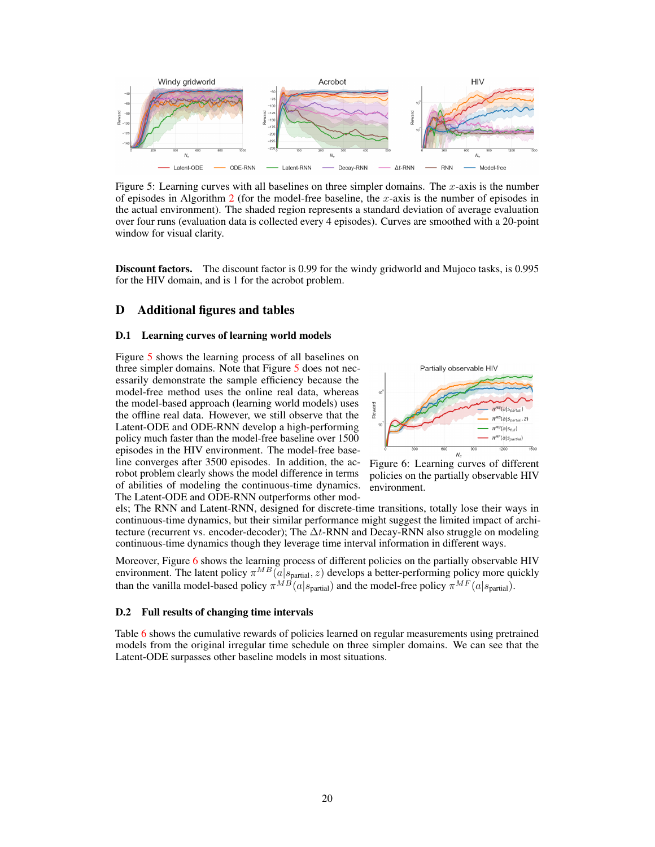<span id="page-7-0"></span>

Figure 5: Learning curves with all baselines on three simpler domains. The *x*-axis is the number of episodes in Algorithm [2](#page-1-1) (for the model-free baseline, the *x*-axis is the number of episodes in the actual environment). The shaded region represents a standard deviation of average evaluation over four runs (evaluation data is collected every 4 episodes). Curves are smoothed with a 20-point window for visual clarity.

Discount factors. The discount factor is 0.99 for the windy gridworld and Mujoco tasks, is 0.995 for the HIV domain, and is 1 for the acrobot problem.

# D Additional figures and tables

## D.1 Learning curves of learning world models

Figure [5](#page-7-0) shows the learning process of all baselines on three simpler domains. Note that Figure [5](#page-7-0) does not necessarily demonstrate the sample efficiency because the model-free method uses the online real data, whereas the model-based approach (learning world models) uses the offline real data. However, we still observe that the Latent-ODE and ODE-RNN develop a high-performing policy much faster than the model-free baseline over 1500 episodes in the HIV environment. The model-free baseline converges after 3500 episodes. In addition, the acrobot problem clearly shows the model difference in terms of abilities of modeling the continuous-time dynamics. The Latent-ODE and ODE-RNN outperforms other mod-

<span id="page-7-1"></span>

Figure 6: Learning curves of different policies on the partially observable HIV environment.

els; The RNN and Latent-RNN, designed for discrete-time transitions, totally lose their ways in continuous-time dynamics, but their similar performance might suggest the limited impact of architecture (recurrent vs. encoder-decoder); The  $\Delta t$ -RNN and Decay-RNN also struggle on modeling continuous-time dynamics though they leverage time interval information in different ways.

Moreover, Figure [6](#page-7-1) shows the learning process of different policies on the partially observable HIV environment. The latent policy  $\pi^{MB}(\tilde{a}|s_{\text{partial}}; z)$  develops a better-performing policy more quickly than the vanilla model-based policy  $\pi^{MB}(a|s_{partial})$  and the model-free policy  $\pi^{MF}(a|s_{partial})$ .

#### D.2 Full results of changing time intervals

Table [6](#page-8-0) shows the cumulative rewards of policies learned on regular measurements using pretrained models from the original irregular time schedule on three simpler domains. We can see that the Latent-ODE surpasses other baseline models in most situations.